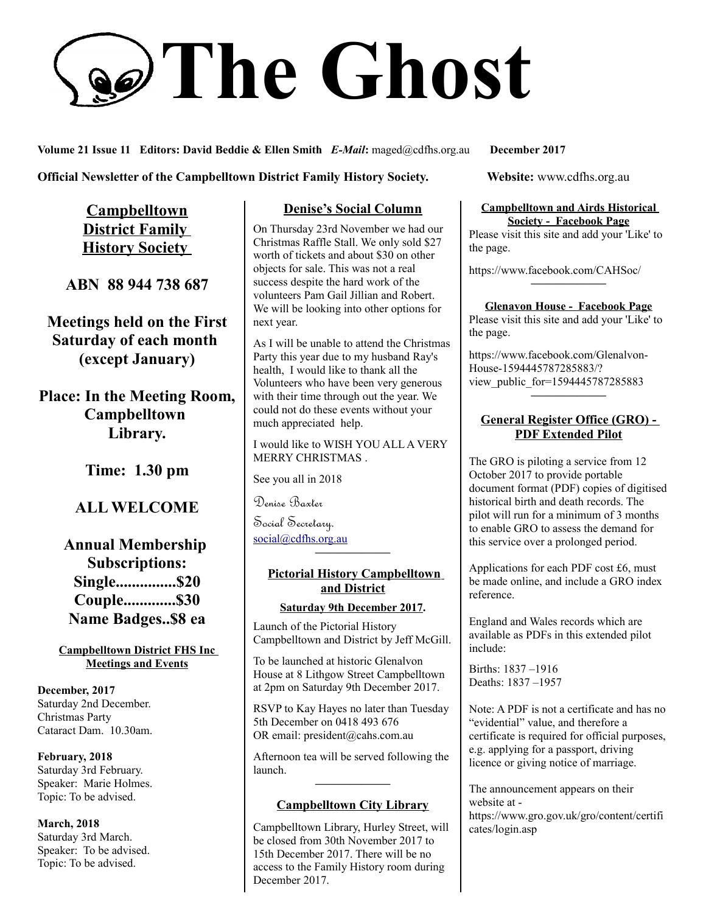# **The Ghost**

**Volume 21 Issue 11 Editors: David Beddie & Ellen Smith** *E-Mail***:** maged@cdfhs.org.au **December 2017**

**Official Newsletter of the Campbelltown District Family History Society. Website: www.cdfhs.org.au** 

**Campbelltown District Family History Society** 

**ABN 88 944 738 687**

**Meetings held on the First Saturday of each month (except January)**

**Place: In the Meeting Room, Campbelltown Library.**

**Time: 1.30 pm**

# **ALL WELCOME**

# **Annual Membership Subscriptions: Single...............\$20 Couple.............\$30 Name Badges..\$8 ea**

**Campbelltown District FHS Inc Meetings and Events**

**December, 2017** Saturday 2nd December. Christmas Party Cataract Dam. 10.30am.

**February, 2018** Saturday 3rd February. Speaker: Marie Holmes. Topic: To be advised.

**March, 2018** Saturday 3rd March. Speaker: To be advised. Topic: To be advised.

### **Denise's Social Column**

On Thursday 23rd November we had our Christmas Raffle Stall. We only sold \$27 worth of tickets and about \$30 on other objects for sale. This was not a real success despite the hard work of the volunteers Pam Gail Jillian and Robert. We will be looking into other options for next year.

As I will be unable to attend the Christmas Party this year due to my husband Ray's health, I would like to thank all the Volunteers who have been very generous with their time through out the year. We could not do these events without your much appreciated help.

I would like to WISH YOU ALL A VERY MERRY CHRISTMAS .

See you all in 2018

Denise Baxter

Social Secretary. [social@cdfhs.org.au](mailto:social@cdfhs.org.au)

## **Pictorial History Campbelltown and District**

**——————–**

#### **Saturday 9th December 2017.**

Launch of the Pictorial History Campbelltown and District by Jeff McGill.

To be launched at historic Glenalvon House at 8 Lithgow Street Campbelltown at 2pm on Saturday 9th December 2017.

RSVP to Kay Hayes no later than Tuesday 5th December on 0418 493 676 OR email: president@cahs.com.au

Afternoon tea will be served following the launch. **——————–**

#### **Campbelltown City Library**

Campbelltown Library, Hurley Street, will be closed from 30th November 2017 to 15th December 2017. There will be no access to the Family History room during December 2017.

#### **Campbelltown and Airds Historical Society - Facebook Page**

Please visit this site and add your 'Like' to the page.

https://www.facebook.com/CAHSoc/

**——————– Glenavon House - Facebook Page**

Please visit this site and add your 'Like' to the page.

https://www.facebook.com/Glenalvon-House-1594445787285883/? view public for=1594445787285883 **——————–**

#### **General Register Office (GRO) - PDF Extended Pilot**

The GRO is piloting a service from 12 October 2017 to provide portable document format (PDF) copies of digitised historical birth and death records. The pilot will run for a minimum of 3 months to enable GRO to assess the demand for this service over a prolonged period.

Applications for each PDF cost £6, must be made online, and include a GRO index reference.

England and Wales records which are available as PDFs in this extended pilot include:

Births: 1837 –1916 Deaths: 1837 –1957

Note: A PDF is not a certificate and has no "evidential" value, and therefore a certificate is required for official purposes, e.g. applying for a passport, driving licence or giving notice of marriage.

The announcement appears on their website at https://www.gro.gov.uk/gro/content/certifi cates/login.asp